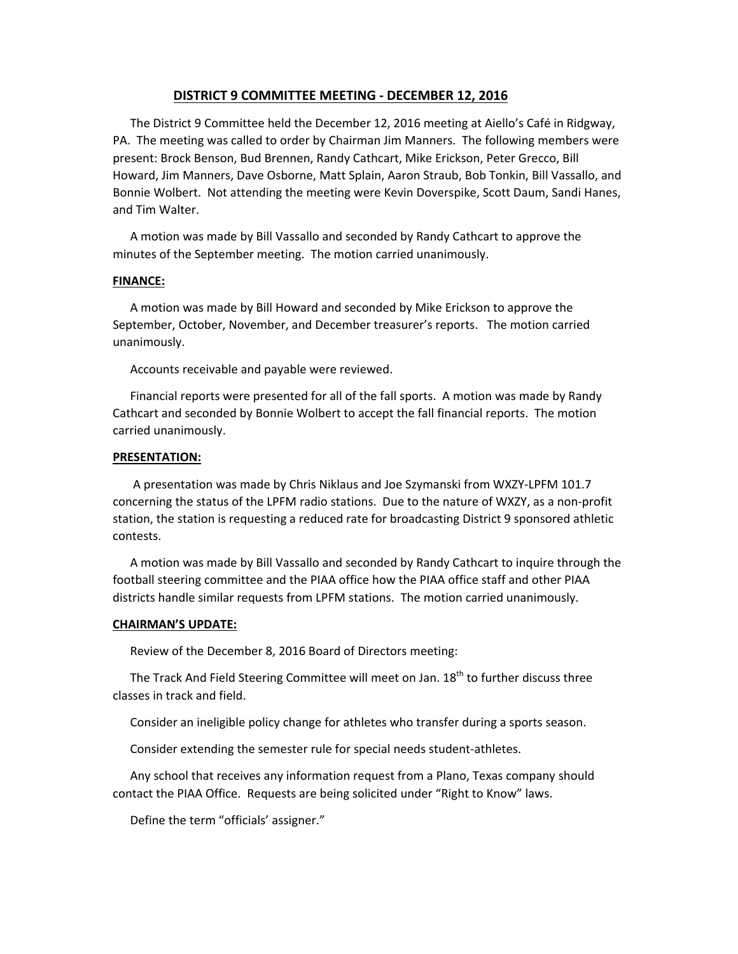# **DISTRICT 9 COMMITTEE MEETING ‐ DECEMBER 12, 2016**

The District 9 Committee held the December 12, 2016 meeting at Aiello's Café in Ridgway, PA. The meeting was called to order by Chairman Jim Manners. The following members were present: Brock Benson, Bud Brennen, Randy Cathcart, Mike Erickson, Peter Grecco, Bill Howard, Jim Manners, Dave Osborne, Matt Splain, Aaron Straub, Bob Tonkin, Bill Vassallo, and Bonnie Wolbert. Not attending the meeting were Kevin Doverspike, Scott Daum, Sandi Hanes, and Tim Walter.

A motion was made by Bill Vassallo and seconded by Randy Cathcart to approve the minutes of the September meeting. The motion carried unanimously.

## **FINANCE:**

A motion was made by Bill Howard and seconded by Mike Erickson to approve the September, October, November, and December treasurer's reports. The motion carried unanimously.

Accounts receivable and payable were reviewed.

Financial reports were presented for all of the fall sports. A motion was made by Randy Cathcart and seconded by Bonnie Wolbert to accept the fall financial reports. The motion carried unanimously.

### **PRESENTATION:**

 A presentation was made by Chris Niklaus and Joe Szymanski from WXZY‐LPFM 101.7 concerning the status of the LPFM radio stations. Due to the nature of WXZY, as a non‐profit station, the station is requesting a reduced rate for broadcasting District 9 sponsored athletic contests.

A motion was made by Bill Vassallo and seconded by Randy Cathcart to inquire through the football steering committee and the PIAA office how the PIAA office staff and other PIAA districts handle similar requests from LPFM stations. The motion carried unanimously.

### **CHAIRMAN'S UPDATE:**

Review of the December 8, 2016 Board of Directors meeting:

The Track And Field Steering Committee will meet on Jan. 18<sup>th</sup> to further discuss three classes in track and field.

Consider an ineligible policy change for athletes who transfer during a sports season.

Consider extending the semester rule for special needs student‐athletes.

Any school that receives any information request from a Plano, Texas company should contact the PIAA Office. Requests are being solicited under "Right to Know" laws.

Define the term "officials' assigner."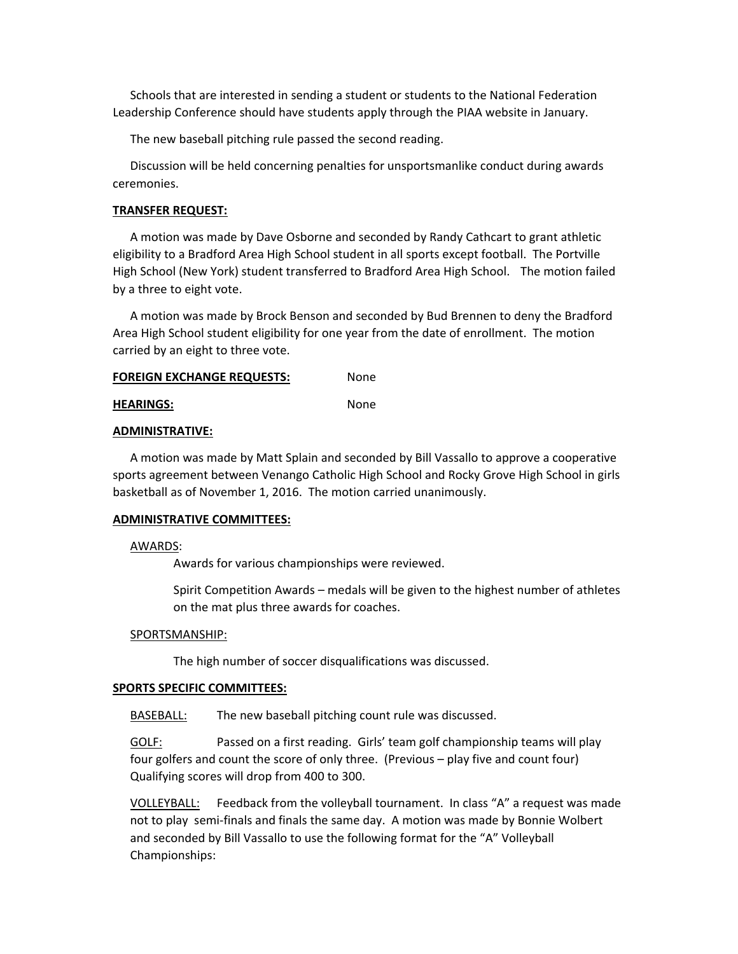Schools that are interested in sending a student or students to the National Federation Leadership Conference should have students apply through the PIAA website in January.

The new baseball pitching rule passed the second reading.

Discussion will be held concerning penalties for unsportsmanlike conduct during awards ceremonies.

# **TRANSFER REQUEST:**

A motion was made by Dave Osborne and seconded by Randy Cathcart to grant athletic eligibility to a Bradford Area High School student in all sports except football. The Portville High School (New York) student transferred to Bradford Area High School. The motion failed by a three to eight vote.

A motion was made by Brock Benson and seconded by Bud Brennen to deny the Bradford Area High School student eligibility for one year from the date of enrollment. The motion carried by an eight to three vote.

| <b>FOREIGN EXCHANGE REQUESTS:</b> | None |
|-----------------------------------|------|
| <b>HEARINGS:</b>                  | None |

#### **ADMINISTRATIVE:**

A motion was made by Matt Splain and seconded by Bill Vassallo to approve a cooperative sports agreement between Venango Catholic High School and Rocky Grove High School in girls basketball as of November 1, 2016. The motion carried unanimously.

### **ADMINISTRATIVE COMMITTEES:**

# AWARDS:

Awards for various championships were reviewed.

Spirit Competition Awards – medals will be given to the highest number of athletes on the mat plus three awards for coaches.

#### SPORTSMANSHIP:

The high number of soccer disqualifications was discussed.

#### **SPORTS SPECIFIC COMMITTEES:**

BASEBALL: The new baseball pitching count rule was discussed.

GOLF: Passed on a first reading. Girls' team golf championship teams will play four golfers and count the score of only three. (Previous – play five and count four) Qualifying scores will drop from 400 to 300.

VOLLEYBALL: Feedback from the volleyball tournament. In class "A" a request was made not to play semi-finals and finals the same day. A motion was made by Bonnie Wolbert and seconded by Bill Vassallo to use the following format for the "A" Volleyball Championships: